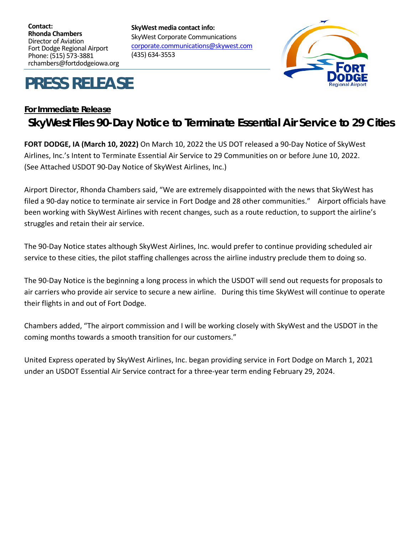**Contact: Rhonda Chambers** Director of Aviation Fort Dodge Regional Airport Phone: (515) 573-3881 rchambers@fortdodgeiowa.org

**PRESS RELEASE**

[corporate.communications@skywest.com](mailto:corporate.communications@skywest.com)

# **For Immediate Release SkyWest Files 90-Day Notice to Terminate Essential Air Service to 29 Cities**

**FORT DODGE, IA (March 10, 2022)** On March 10, 2022 the US DOT released a 90-Day Notice of SkyWest Airlines, Inc.'s Intent to Terminate Essential Air Service to 29 Communities on or before June 10, 2022. (See Attached USDOT 90-Day Notice of SkyWest Airlines, Inc.)

**SkyWest media contact info:**

(435) 634-3553

SkyWest Corporate Communications

Airport Director, Rhonda Chambers said, "We are extremely disappointed with the news that SkyWest has filed a 90-day notice to terminate air service in Fort Dodge and 28 other communities." Airport officials have been working with SkyWest Airlines with recent changes, such as a route reduction, to support the airline's struggles and retain their air service.

The 90-Day Notice states although SkyWest Airlines, Inc. would prefer to continue providing scheduled air service to these cities, the pilot staffing challenges across the airline industry preclude them to doing so.

The 90-Day Notice is the beginning a long process in which the USDOT will send out requests for proposals to air carriers who provide air service to secure a new airline. During this time SkyWest will continue to operate their flights in and out of Fort Dodge.

Chambers added, "The airport commission and I will be working closely with SkyWest and the USDOT in the coming months towards a smooth transition for our customers."

United Express operated by SkyWest Airlines, Inc. began providing service in Fort Dodge on March 1, 2021 under an USDOT Essential Air Service contract for a three-year term ending February 29, 2024.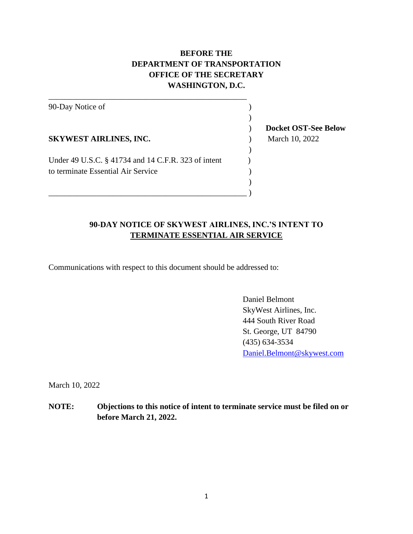## **BEFORE THE DEPARTMENT OF TRANSPORTATION OFFICE OF THE SECRETARY WASHINGTON, D.C.**

90-Day Notice of )  $)$ **SKYWEST AIRLINES, INC.** ) March 10, 2022  $\lambda$ Under 49 U.S.C. § 41734 and 14 C.F.R. 323 of intent (1) to terminate Essential Air Service )  $)$  $\hspace{.5in}$  )  $\hspace{.5in}$  )

\_\_\_\_\_\_\_\_\_\_\_\_\_\_\_\_\_\_\_\_\_\_\_\_\_\_\_\_\_\_\_\_\_\_\_\_\_\_\_\_\_\_\_\_\_\_\_\_\_

#### **90-DAY NOTICE OF SKYWEST AIRLINES, INC.'S INTENT TO TERMINATE ESSENTIAL AIR SERVICE**

Communications with respect to this document should be addressed to:

Daniel Belmont SkyWest Airlines, Inc. 444 South River Road St. George, UT 84790 (435) 634-3534 [Daniel.Belmont@skywest.com](mailto:Daniel.Belmont@skywest.com)

March 10, 2022

**NOTE: Objections to this notice of intent to terminate service must be filed on or before March 21, 2022.**

) **Docket OST-See Below**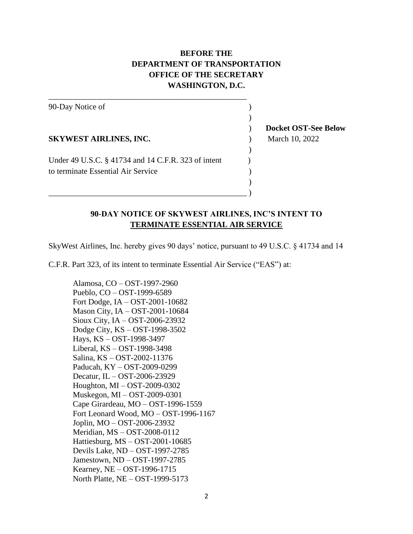### **BEFORE THE DEPARTMENT OF TRANSPORTATION OFFICE OF THE SECRETARY WASHINGTON, D.C.**

90-Day Notice of )  $)$ **SKYWEST AIRLINES, INC.** ) March 10, 2022 ) Under 49 U.S.C. § 41734 and 14 C.F.R. 323 of intent (1) to terminate Essential Air Service )  $)$  $\hspace{.5in}$  )  $\hspace{.5in}$  )

\_\_\_\_\_\_\_\_\_\_\_\_\_\_\_\_\_\_\_\_\_\_\_\_\_\_\_\_\_\_\_\_\_\_\_\_\_\_\_\_\_\_\_\_\_\_\_\_\_

) **Docket OST-See Below**

#### **90-DAY NOTICE OF SKYWEST AIRLINES, INC'S INTENT TO TERMINATE ESSENTIAL AIR SERVICE**

SkyWest Airlines, Inc. hereby gives 90 days' notice, pursuant to 49 U.S.C. § 41734 and 14

C.F.R. Part 323, of its intent to terminate Essential Air Service ("EAS") at:

Alamosa, CO – OST-1997-2960 Pueblo, CO – OST-1999-6589 Fort Dodge, IA – OST-2001-10682 Mason City, IA – OST-2001-10684 Sioux City, IA – OST-2006-23932 Dodge City, KS – OST-1998-3502 Hays, KS – OST-1998-3497 Liberal, KS – OST-1998-3498 Salina, KS – OST-2002-11376 Paducah, KY – OST-2009-0299 Decatur, IL – OST-2006-23929 Houghton, MI – OST-2009-0302 Muskegon, MI – OST-2009-0301 Cape Girardeau, MO – OST-1996-1559 Fort Leonard Wood, MO – OST-1996-1167 Joplin, MO – OST-2006-23932 Meridian, MS – OST-2008-0112 Hattiesburg, MS – OST-2001-10685 Devils Lake, ND – OST-1997-2785 Jamestown, ND – OST-1997-2785 Kearney, NE – OST-1996-1715 North Platte, NE – OST-1999-5173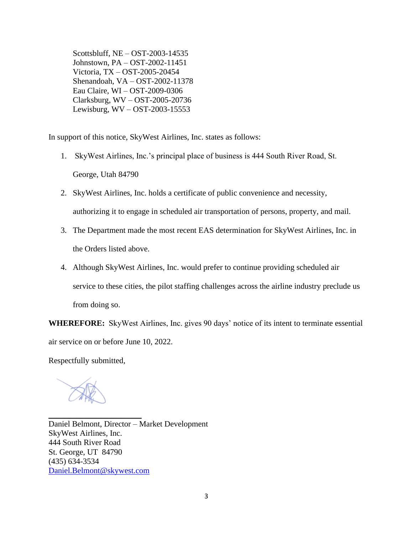Scottsbluff, NE – OST-2003-14535 Johnstown, PA – OST-2002-11451 Victoria, TX – OST-2005-20454 Shenandoah, VA – OST-2002-11378 Eau Claire, WI – OST-2009-0306 Clarksburg, WV – OST-2005-20736 Lewisburg, WV – OST-2003-15553

In support of this notice, SkyWest Airlines, Inc. states as follows:

- 1. SkyWest Airlines, Inc.'s principal place of business is 444 South River Road, St. George, Utah 84790
- 2. SkyWest Airlines, Inc. holds a certificate of public convenience and necessity, authorizing it to engage in scheduled air transportation of persons, property, and mail.
- 3. The Department made the most recent EAS determination for SkyWest Airlines, Inc. in the Orders listed above.
- 4. Although SkyWest Airlines, Inc. would prefer to continue providing scheduled air service to these cities, the pilot staffing challenges across the airline industry preclude us from doing so.

**WHEREFORE:** SkyWest Airlines, Inc. gives 90 days' notice of its intent to terminate essential air service on or before June 10, 2022.

Respectfully submitted,

 $\overline{\phantom{a}}$  , where  $\overline{\phantom{a}}$  , where  $\overline{\phantom{a}}$  , where  $\overline{\phantom{a}}$ Daniel Belmont, Director – Market Development SkyWest Airlines, Inc. 444 South River Road St. George, UT 84790 (435) 634-3534 [Daniel.Belmont@skywest.com](mailto:Daniel.Belmont@skywest.com)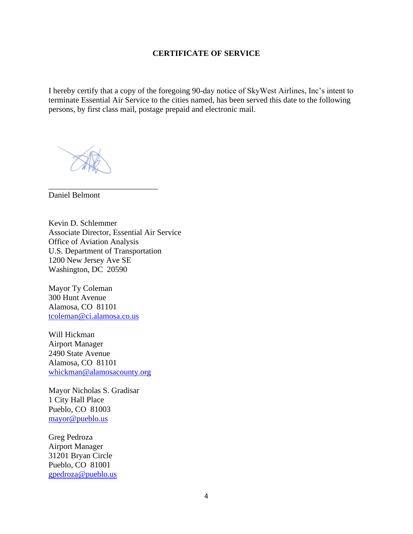#### **CERTIFICATE OF SERVICE**

I hereby certify that a copy of the foregoing 90-day notice of SkyWest Airlines, Inc's intent to terminate Essential Air Service to the cities named, has been served this date to the following persons, by first class mail, postage prepaid and electronic mail.

\_\_\_\_\_\_\_\_\_\_\_\_\_\_\_\_\_\_\_\_\_\_\_\_\_\_\_

Daniel Belmont

Kevin D. Schlemmer Associate Director, Essential Air Service Office of Aviation Analysis U.S. Department of Transportation 1200 New Jersey Ave SE Washington, DC 20590

Mayor Ty Coleman 300 Hunt Avenue Alamosa, CO 81101 [tcoleman@ci.alamosa.co.us](mailto:tcoleman@ci.alamosa.co.us)

Will Hickman Airport Manager 2490 State Avenue Alamosa, CO 81101 [whickman@alamosacounty.org](mailto:whickman@alamosacounty.org)

Mayor Nicholas S. Gradisar 1 City Hall Place Pueblo, CO 81003 [mayor@pueblo.us](mailto:mayor@pueblo.us)

Greg Pedroza Airport Manager 31201 Bryan Circle Pueblo, CO 81001 [gpedroza@pueblo.us](mailto:gpedroza@pueblo.us)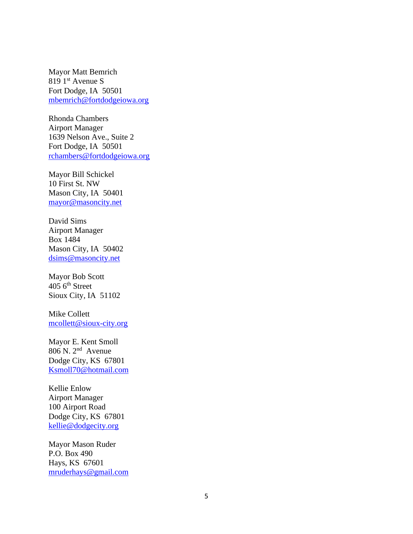Mayor Matt Bemrich 819 1<sup>st</sup> Avenue S Fort Dodge, IA 50501 [mbemrich@fortdodgeiowa.org](mailto:mbemrich@fortdodgeiowa.org)

Rhonda Chambers Airport Manager 1639 Nelson Ave., Suite 2 Fort Dodge, IA 50501 [rchambers@fortdodgeiowa.org](mailto:rchambers@fortdodgeiowa.org)

Mayor Bill Schickel 10 First St. NW Mason City, IA 50401 [mayor@masoncity.net](mailto:mayor@masoncity.net)

David Sims Airport Manager Box 1484 Mason City, IA 50402 [dsims@masoncity.net](mailto:dsims@masoncity.net)

Mayor Bob Scott  $405$  6<sup>th</sup> Street Sioux City, IA 51102

Mike Collett [mcollett@sioux-city.org](mailto:mcollett@sioux-city.org)

Mayor E. Kent Smoll  $806$  N.  $2<sup>nd</sup>$  Avenue Dodge City, KS 67801 [Ksmoll70@hotmail.com](mailto:Ksmoll70@hotmail.com)

Kellie Enlow Airport Manager 100 Airport Road Dodge City, KS 67801 [kellie@dodgecity.org](mailto:kellie@dodgecity.org)

Mayor Mason Ruder P.O. Box 490 Hays, KS 67601 [mruderhays@gmail.com](mailto:mruderhays@gmail.com)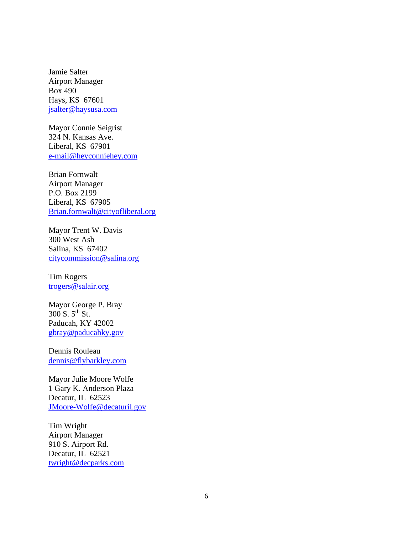Jamie Salter Airport Manager Box 490 Hays, KS 67601 [jsalter@haysusa.com](mailto:jsalter@haysusa.com)

Mayor Connie Seigrist 324 N. Kansas Ave. Liberal, KS 67901 [e-mail@heyconniehey.com](mailto:e-mail@heyconniehey.com)

Brian Fornwalt Airport Manager P.O. Box 2199 Liberal, KS 67905 [Brian.fornwalt@cityofliberal.org](mailto:Brian.fornwalt@cityofliberal.org)

Mayor Trent W. Davis 300 West Ash Salina, KS 67402 [citycommission@salina.org](mailto:citycommission@salina.org)

Tim Rogers [trogers@salair.org](mailto:trogers@salair.org)

Mayor George P. Bray 300 S. 5th St. Paducah, KY 42002 [gbray@paducahky.gov](mailto:gbray@paducahky.gov)

Dennis Rouleau [dennis@flybarkley.com](mailto:dennis@flybarkley.com)

Mayor Julie Moore Wolfe 1 Gary K. Anderson Plaza Decatur, IL 62523 [JMoore-Wolfe@decaturil.gov](mailto:JMoore-Wolfe@decaturil.gov)

Tim Wright Airport Manager 910 S. Airport Rd. Decatur, IL 62521 [twright@decparks.com](mailto:twright@decparks.com)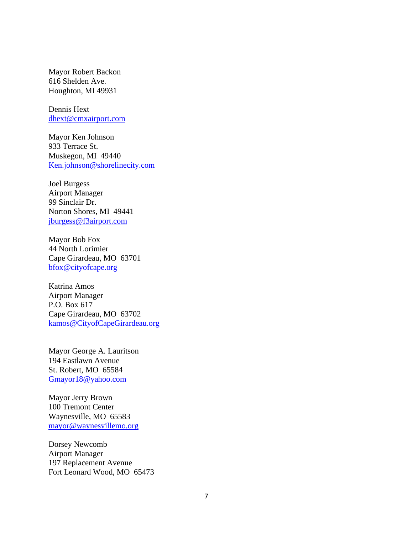Mayor Robert Backon 616 Shelden Ave. Houghton, MI 49931

Dennis Hext [dhext@cmxairport.com](mailto:dhext@cmxairport.com)

Mayor Ken Johnson 933 Terrace St. Muskegon, MI 49440 [Ken.johnson@shorelinecity.com](mailto:Ken.johnson@shorelinecity.com)

Joel Burgess Airport Manager 99 Sinclair Dr. Norton Shores, MI 49441 [jburgess@f3airport.com](mailto:jburgess@f3airport.com)

Mayor Bob Fox 44 North Lorimier Cape Girardeau, MO 63701 [bfox@cityofcape.org](mailto:bfox@cityofcape.org)

Katrina Amos Airport Manager P.O. Box 617 Cape Girardeau, MO 63702 [kamos@CityofCapeGirardeau.org](mailto:kamos@CityofCapeGirardeau.org)

Mayor George A. Lauritson 194 Eastlawn Avenue St. Robert, MO 65584 [Gmayor18@yahoo.com](mailto:Gmayor18@yahoo.com)

Mayor Jerry Brown 100 Tremont Center Waynesville, MO 65583 [mayor@waynesvillemo.org](mailto:mayor@waynesvillemo.org)

Dorsey Newcomb Airport Manager 197 Replacement Avenue Fort Leonard Wood, MO 65473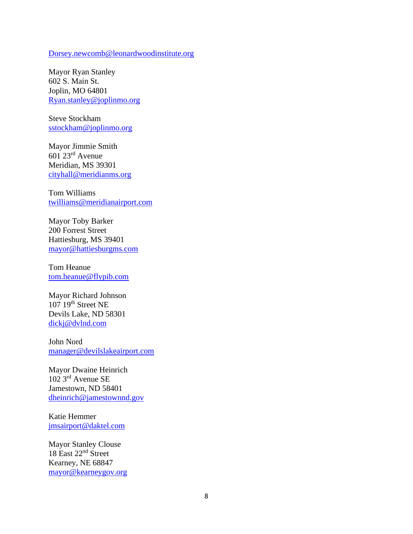[Dorsey.newcomb@leonardwoodinstitute.org](mailto:Dorsey.newcomb@leonardwoodinstitute.org)

Mayor Ryan Stanley 602 S. Main St. Joplin, MO 64801 [Ryan.stanley@joplinmo.org](mailto:Ryan.stanley@joplinmo.org)

Steve Stockham [sstockham@joplinmo.org](mailto:sstockham@joplinmo.org)

Mayor Jimmie Smith 601 23rd Avenue Meridian, MS 39301 [cityhall@meridianms.org](mailto:cityhall@meridianms.org)

Tom Williams [twilliams@meridianairport.com](mailto:twilliams@meridianairport.com)

Mayor Toby Barker 200 Forrest Street Hattiesburg, MS 39401 [mayor@hattiesburgms.com](mailto:mayor@hattiesburgms.com)

Tom Heanue [tom.heanue@flypib.com](mailto:tom.heanue@flypib.com)

Mayor Richard Johnson  $107$   $19<sup>th</sup>$  Street NE Devils Lake, ND 58301 [dickj@dvlnd.com](mailto:dickj@dvlnd.com)

John Nord [manager@devilslakeairport.com](mailto:manager@devilslakeairport.com)

Mayor Dwaine Heinrich 102 3rd Avenue SE Jamestown, ND 58401 [dheinrich@jamestownnd.gov](mailto:dheinrich@jamestownnd.gov)

Katie Hemmer [jmsairport@daktel.com](mailto:jmsairport@daktel.com)

Mayor Stanley Clouse 18 East 22<sup>nd</sup> Street Kearney, NE 68847 [mayor@kearneygov.org](mailto:mayor@kearneygov.org)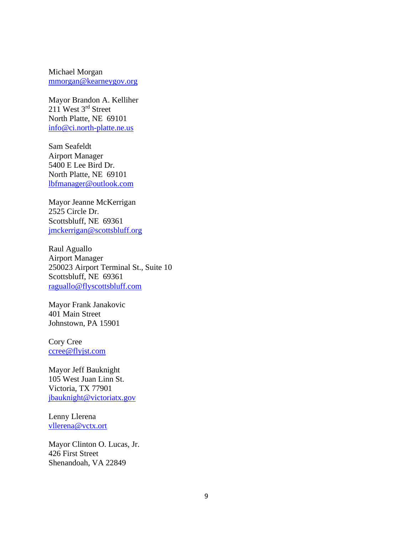Michael Morgan [mmorgan@kearneygov.org](mailto:mmorgan@kearneygov.org)

Mayor Brandon A. Kelliher  $211$  West  $3^{rd}$  Street North Platte, NE 69101 [info@ci.north-platte.ne.us](mailto:info@ci.north-platte.ne.us)

Sam Seafeldt Airport Manager 5400 E Lee Bird Dr. North Platte, NE 69101 [lbfmanager@outlook.com](mailto:lbfmanager@outlook.com)

Mayor Jeanne McKerrigan 2525 Circle Dr. Scottsbluff, NE 69361 [jmckerrigan@scottsbluff.org](mailto:jmckerrigan@scottsbluff.org)

Raul Aguallo Airport Manager 250023 Airport Terminal St., Suite 10 Scottsbluff, NE 69361 [raguallo@flyscottsbluff.com](mailto:raguallo@flyscottsbluff.com)

Mayor Frank Janakovic 401 Main Street Johnstown, PA 15901

Cory Cree [ccree@flyjst.com](mailto:ccree@flyjst.com)

Mayor Jeff Bauknight 105 West Juan Linn St. Victoria, TX 77901 [jbauknight@victoriatx.gov](mailto:jbauknight@victoriatx.gov)

Lenny Llerena [vllerena@vctx.ort](mailto:vllerena@vctx.ort)

Mayor Clinton O. Lucas, Jr. 426 First Street Shenandoah, VA 22849